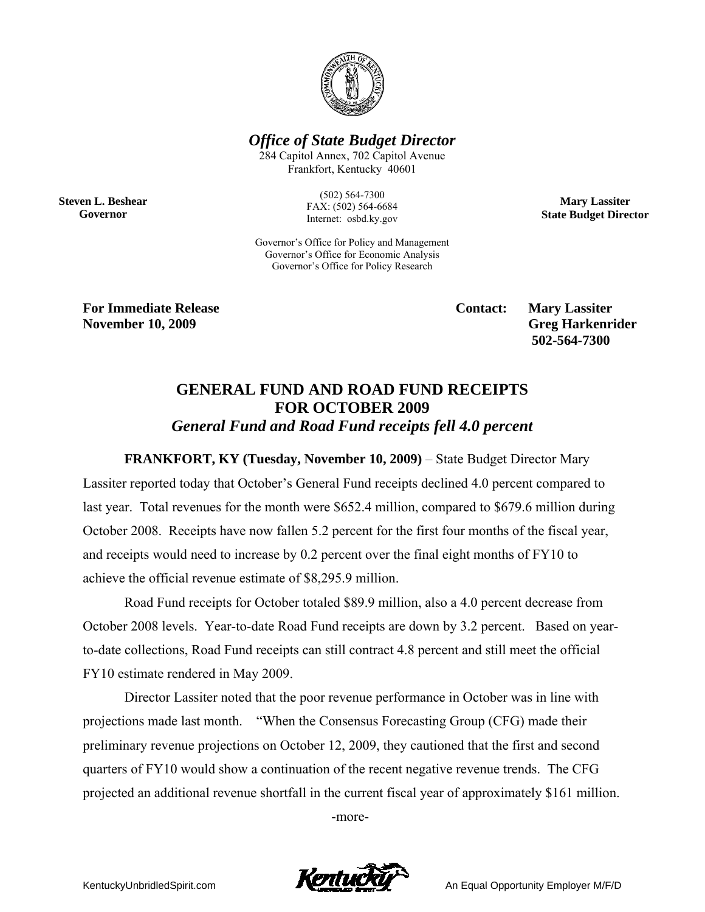

*Office of State Budget Director* 

284 Capitol Annex, 702 Capitol Avenue Frankfort, Kentucky 40601

**Steven L. Beshear Governor** 

(502) 564-7300 FAX: (502) 564-6684 Internet: osbd.ky.gov

Governor's Office for Policy and Management Governor's Office for Economic Analysis Governor's Office for Policy Research

**Mary Lassiter State Budget Director** 

**For Immediate Release Service Service Service Contact: Mary Lassiter November 10, 2009** Greg Harkenrider **Greg Harkenrider Greg Harkenrider Greg Harkenrider** 

 **502-564-7300** 

## **GENERAL FUND AND ROAD FUND RECEIPTS FOR OCTOBER 2009**  *General Fund and Road Fund receipts fell 4.0 percent*

**FRANKFORT, KY (Tuesday, November 10, 2009)** – State Budget Director Mary Lassiter reported today that October's General Fund receipts declined 4.0 percent compared to last year. Total revenues for the month were \$652.4 million, compared to \$679.6 million during October 2008. Receipts have now fallen 5.2 percent for the first four months of the fiscal year, and receipts would need to increase by 0.2 percent over the final eight months of FY10 to achieve the official revenue estimate of \$8,295.9 million.

Road Fund receipts for October totaled \$89.9 million, also a 4.0 percent decrease from October 2008 levels. Year-to-date Road Fund receipts are down by 3.2 percent. Based on yearto-date collections, Road Fund receipts can still contract 4.8 percent and still meet the official FY10 estimate rendered in May 2009.

Director Lassiter noted that the poor revenue performance in October was in line with projections made last month. "When the Consensus Forecasting Group (CFG) made their preliminary revenue projections on October 12, 2009, they cautioned that the first and second quarters of FY10 would show a continuation of the recent negative revenue trends. The CFG projected an additional revenue shortfall in the current fiscal year of approximately \$161 million.

-more-

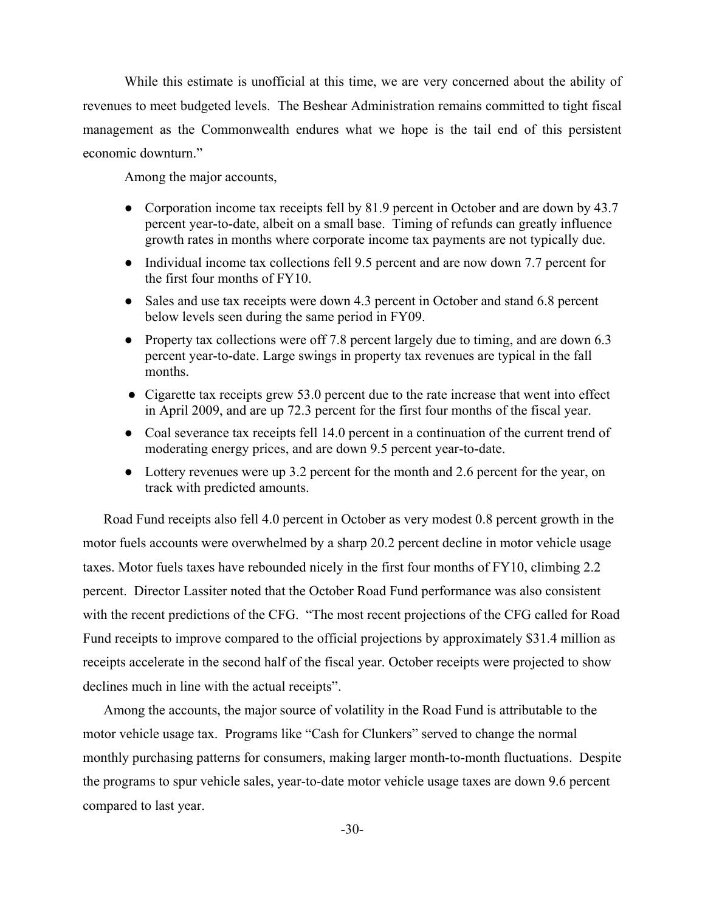While this estimate is unofficial at this time, we are very concerned about the ability of revenues to meet budgeted levels. The Beshear Administration remains committed to tight fiscal management as the Commonwealth endures what we hope is the tail end of this persistent economic downturn."

Among the major accounts,

- Corporation income tax receipts fell by 81.9 percent in October and are down by 43.7 percent year-to-date, albeit on a small base. Timing of refunds can greatly influence growth rates in months where corporate income tax payments are not typically due.
- Individual income tax collections fell 9.5 percent and are now down 7.7 percent for the first four months of FY10.
- Sales and use tax receipts were down 4.3 percent in October and stand 6.8 percent below levels seen during the same period in FY09.
- Property tax collections were off 7.8 percent largely due to timing, and are down 6.3 percent year-to-date. Large swings in property tax revenues are typical in the fall months.
- Cigarette tax receipts grew 53.0 percent due to the rate increase that went into effect in April 2009, and are up 72.3 percent for the first four months of the fiscal year.
- Coal severance tax receipts fell 14.0 percent in a continuation of the current trend of moderating energy prices, and are down 9.5 percent year-to-date.
- Lottery revenues were up 3.2 percent for the month and 2.6 percent for the year, on track with predicted amounts.

Road Fund receipts also fell 4.0 percent in October as very modest 0.8 percent growth in the motor fuels accounts were overwhelmed by a sharp 20.2 percent decline in motor vehicle usage taxes. Motor fuels taxes have rebounded nicely in the first four months of FY10, climbing 2.2 percent. Director Lassiter noted that the October Road Fund performance was also consistent with the recent predictions of the CFG. "The most recent projections of the CFG called for Road Fund receipts to improve compared to the official projections by approximately \$31.4 million as receipts accelerate in the second half of the fiscal year. October receipts were projected to show declines much in line with the actual receipts".

Among the accounts, the major source of volatility in the Road Fund is attributable to the motor vehicle usage tax. Programs like "Cash for Clunkers" served to change the normal monthly purchasing patterns for consumers, making larger month-to-month fluctuations. Despite the programs to spur vehicle sales, year-to-date motor vehicle usage taxes are down 9.6 percent compared to last year.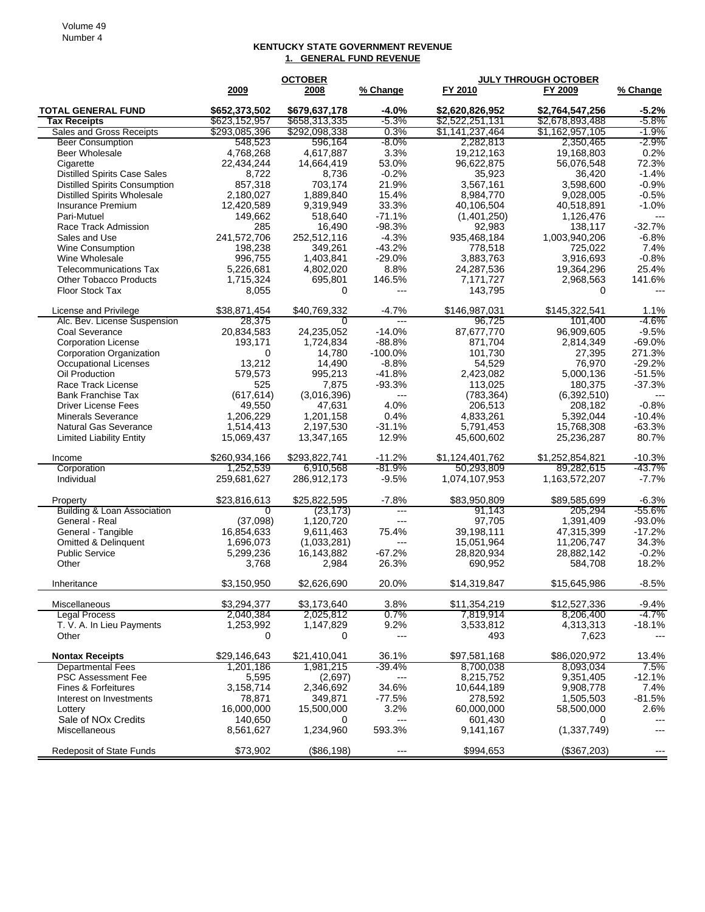## **KENTUCKY STATE GOVERNMENT REVENUE 1. GENERAL FUND REVENUE**

|                                                        | <b>OCTOBER</b>                 |                                |                          | <b>JULY THROUGH OCTOBER</b>        |                                    |                    |  |
|--------------------------------------------------------|--------------------------------|--------------------------------|--------------------------|------------------------------------|------------------------------------|--------------------|--|
|                                                        | 2009                           | 2008                           | % Change                 | FY 2010                            | FY 2009                            | % Change           |  |
| <b>TOTAL GENERAL FUND</b><br><b>Tax Receipts</b>       | \$652,373,502<br>\$623,152,957 | \$679,637,178<br>\$658,313,335 | -4.0%<br>-5.3%           | \$2,620,826,952<br>\$2,522,251,131 | \$2,764,547,256<br>\$2,678,893,488 | $-5.2%$<br>-5.8%   |  |
| Sales and Gross Receipts                               | \$293,085,396                  | \$292,098,338                  | 0.3%                     | \$1,141,237,464                    | \$1,162,957,105                    | -1.9%              |  |
| <b>Beer Consumption</b>                                | 548,523                        | 596,164                        | -8.0%                    | 2,282,813                          | 2,350,465                          | -2.9%              |  |
| <b>Beer Wholesale</b>                                  | 4,768,268                      | 4,617,887                      | 3.3%                     | 19,212,163                         | 19,168,803                         | 0.2%               |  |
| Cigarette                                              | 22,434,244                     | 14,664,419                     | 53.0%                    | 96,622,875                         | 56,076,548                         | 72.3%              |  |
| <b>Distilled Spirits Case Sales</b>                    | 8,722                          | 8,736                          | $-0.2%$                  | 35,923                             | 36,420                             | $-1.4%$            |  |
| <b>Distilled Spirits Consumption</b>                   | 857,318                        | 703,174                        | 21.9%                    | 3,567,161                          | 3,598,600                          | $-0.9%$            |  |
| <b>Distilled Spirits Wholesale</b>                     | 2,180,027                      | 1,889,840                      | 15.4%                    | 8,984,770                          | 9,028,005                          | $-0.5%$            |  |
| Insurance Premium                                      | 12,420,589                     | 9,319,949                      | 33.3%                    | 40,106,504                         | 40,518,891                         | $-1.0%$            |  |
| Pari-Mutuel                                            | 149,662                        | 518,640                        | $-71.1%$                 | (1,401,250)                        | 1,126,476                          | $---$              |  |
| Race Track Admission                                   | 285                            | 16,490                         | $-98.3%$<br>$-4.3%$      | 92,983                             | 138,117                            | $-32.7%$           |  |
| Sales and Use                                          | 241,572,706<br>198,238         | 252,512,116<br>349,261         | $-43.2%$                 | 935,468,184<br>778,518             | 1,003,940,206<br>725,022           | $-6.8%$<br>7.4%    |  |
| Wine Consumption<br>Wine Wholesale                     | 996,755                        | 1,403,841                      | $-29.0%$                 | 3,883,763                          | 3,916,693                          | $-0.8%$            |  |
| <b>Telecommunications Tax</b>                          | 5,226,681                      | 4,802,020                      | 8.8%                     | 24,287,536                         | 19,364,296                         | 25.4%              |  |
| <b>Other Tobacco Products</b>                          | 1,715,324                      | 695,801                        | 146.5%                   | 7,171,727                          | 2,968,563                          | 141.6%             |  |
| Floor Stock Tax                                        | 8,055                          | 0                              | $---$                    | 143,795                            | 0                                  |                    |  |
| License and Privilege                                  | \$38,871,454                   | \$40,769,332                   | $-4.7%$                  | \$146,987,031                      | \$145,322,541                      | 1.1%               |  |
| Alc. Bev. License Suspension                           | 28,375                         | 0                              | $---$                    | 96,725                             | 101.400                            | $-4.6%$<br>$-9.5%$ |  |
| Coal Severance                                         | 20,834,583                     | 24,235,052                     | $-14.0%$<br>$-88.8%$     | 87,677,770<br>871,704              | 96,909,605<br>2,814,349            | $-69.0%$           |  |
| <b>Corporation License</b><br>Corporation Organization | 193,171<br>0                   | 1,724,834<br>14,780            | $-100.0%$                | 101,730                            | 27,395                             | 271.3%             |  |
| <b>Occupational Licenses</b>                           | 13,212                         | 14,490                         | $-8.8%$                  | 54,529                             | 76,970                             | $-29.2%$           |  |
| Oil Production                                         | 579,573                        | 995,213                        | $-41.8%$                 | 2,423,082                          | 5,000,136                          | $-51.5%$           |  |
| Race Track License                                     | 525                            | 7,875                          | $-93.3%$                 | 113,025                            | 180,375                            | $-37.3%$           |  |
| <b>Bank Franchise Tax</b>                              | (617, 614)                     | (3,016,396)                    | ---                      | (783, 364)                         | (6, 392, 510)                      |                    |  |
| <b>Driver License Fees</b>                             | 49,550                         | 47,631                         | 4.0%                     | 206,513                            | 208,182                            | $-0.8%$            |  |
| <b>Minerals Severance</b>                              | 1,206,229                      | 1,201,158                      | 0.4%                     | 4,833,261                          | 5.392,044                          | $-10.4%$           |  |
| Natural Gas Severance                                  | 1,514,413                      | 2,197,530                      | $-31.1%$                 | 5,791,453                          | 15,768,308                         | $-63.3%$           |  |
| <b>Limited Liability Entity</b>                        | 15,069,437                     | 13,347,165                     | 12.9%                    | 45,600,602                         | 25,236,287                         | 80.7%              |  |
| Income                                                 | \$260,934,166                  | \$293,822,741                  | $-11.2%$                 | \$1,124,401,762                    | \$1,252,854,821                    | $-10.3%$           |  |
| Corporation                                            | 1,252,539                      | 6,910,568                      | -81.9%                   | 50,293,809                         | 89,282,615                         | -43.7%             |  |
| Individual                                             | 259,681,627                    | 286,912,173                    | $-9.5%$                  | 1,074,107,953                      | 1,163,572,207                      | -7.7%              |  |
| Property                                               | \$23,816,613                   | \$25,822,595                   | $-7.8%$                  | \$83,950,809                       | \$89,585,699                       | $-6.3%$            |  |
| <b>Building &amp; Loan Association</b>                 | 0                              | (23, 173)                      | $\overline{\phantom{a}}$ | 91,143                             | 205,294                            | -55.6%             |  |
| General - Real                                         | (37,098)<br>16,854,633         | 1,120,720<br>9,611,463         | ---<br>75.4%             | 97,705                             | 1,391,409                          | $-93.0%$           |  |
| General - Tangible<br><b>Omitted &amp; Delinquent</b>  | 1,696,073                      | (1,033,281)                    | ---                      | 39,198,111<br>15,051,964           | 47,315,399<br>11,206,747           | $-17.2%$<br>34.3%  |  |
| <b>Public Service</b>                                  | 5,299,236                      | 16,143,882                     | $-67.2%$                 | 28,820,934                         | 28,882,142                         | $-0.2%$            |  |
| Other                                                  | 3,768                          | 2,984                          | 26.3%                    | 690,952                            | 584,708                            | 18.2%              |  |
| Inheritance                                            | \$3,150,950                    | \$2,626,690                    | 20.0%                    | \$14,319,847                       | \$15,645,986                       | $-8.5%$            |  |
| Miscellaneous                                          | \$3,294,377                    | \$3,173,640                    | 3.8%                     | \$11,354,219                       | \$12,527,336                       | $-9.4%$            |  |
| <b>Legal Process</b>                                   | 2,040,384                      | 2,025,812                      | $0.7\%$                  | 7,819,914                          | 8,206,400                          | -4.7%              |  |
| T. V. A. In Lieu Payments                              | 1,253,992                      | 1,147,829                      | 9.2%                     | 3,533,812                          | 4,313,313                          | $-18.1%$           |  |
| Other                                                  | 0                              | 0                              | ---                      | 493                                | 7,623                              | ---                |  |
| <b>Nontax Receipts</b>                                 | \$29,146,643                   | \$21,410,041                   | 36.1%                    | \$97,581,168                       | \$86,020,972                       | 13.4%              |  |
| <b>Departmental Fees</b>                               | 1,201,186                      | 1,981,215                      | $-39.4%$                 | 8,700,038                          | 8,093,034                          | 7.5%               |  |
| <b>PSC Assessment Fee</b>                              | 5,595                          | (2,697)                        | $---$                    | 8,215,752<br>10.644.189            | 9,351,405<br>9.908.778             | $-12.1%$<br>7.4%   |  |
| Fines & Forfeitures<br>Interest on Investments         | 3,158,714<br>78,871            | 2,346,692<br>349,871           | 34.6%<br>-77.5%          | 278,592                            | 1,505,503                          | -81.5%             |  |
| Lottery                                                | 16,000,000                     | 15,500,000                     | 3.2%                     | 60,000,000                         | 58,500,000                         | 2.6%               |  |
| Sale of NO <sub>x</sub> Credits                        | 140,650                        | 0                              | $---$                    | 601,430                            | 0                                  | $---$              |  |
| Miscellaneous                                          | 8,561,627                      | 1,234,960                      | 593.3%                   | 9,141,167                          | (1, 337, 749)                      | ---                |  |
| Redeposit of State Funds                               | \$73,902                       | (\$86,198)                     | ---                      | \$994,653                          | (\$367,203)                        | $---$              |  |